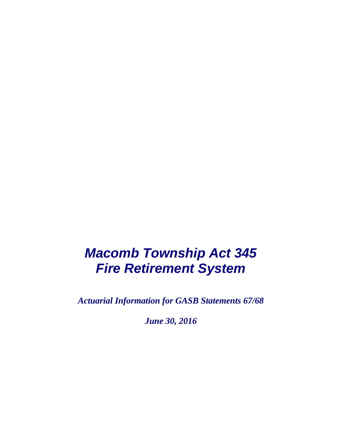# *Macomb Township Act 345 Fire Retirement System*

*Actuarial Information for GASB Statements 67/68*

*June 30, 2016*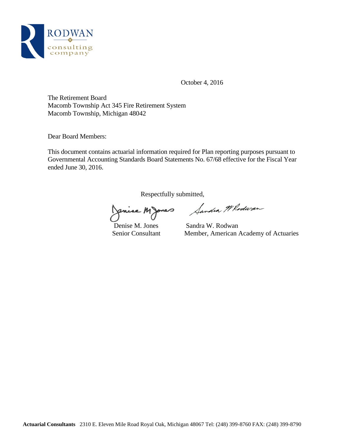

October 4, 2016

The Retirement Board Macomb Township Act 345 Fire Retirement System Macomb Township, Michigan 48042

Dear Board Members:

This document contains actuarial information required for Plan reporting purposes pursuant to Governmental Accounting Standards Board Statements No. 67/68 effective for the Fiscal Year ended June 30, 2016.

Respectfully submitted,<br>Conine Mones *Sandia Il Roduran* 

Denise M. Jones Sandra W. Rodwan Senior Consultant Member, American Academy of Actuaries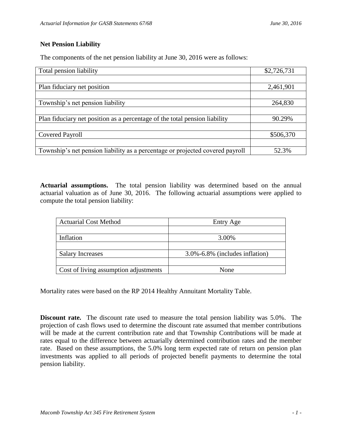# **Net Pension Liability**

The components of the net pension liability at June 30, 2016 were as follows:

| Total pension liability                                                       | \$2,726,731 |
|-------------------------------------------------------------------------------|-------------|
|                                                                               |             |
| Plan fiduciary net position                                                   | 2,461,901   |
|                                                                               |             |
| Township's net pension liability                                              | 264,830     |
|                                                                               |             |
| Plan fiduciary net position as a percentage of the total pension liability    | 90.29%      |
|                                                                               |             |
| Covered Payroll                                                               | \$506,370   |
|                                                                               |             |
| Township's net pension liability as a percentage or projected covered payroll | 52.3%       |

**Actuarial assumptions.** The total pension liability was determined based on the annual actuarial valuation as of June 30, 2016. The following actuarial assumptions were applied to compute the total pension liability:

| <b>Actuarial Cost Method</b>          | Entry Age                      |
|---------------------------------------|--------------------------------|
|                                       |                                |
| Inflation                             | 3.00%                          |
|                                       |                                |
| <b>Salary Increases</b>               | 3.0%-6.8% (includes inflation) |
|                                       |                                |
| Cost of living assumption adjustments | None                           |

Mortality rates were based on the RP 2014 Healthy Annuitant Mortality Table.

**Discount rate.** The discount rate used to measure the total pension liability was 5.0%. The projection of cash flows used to determine the discount rate assumed that member contributions will be made at the current contribution rate and that Township Contributions will be made at rates equal to the difference between actuarially determined contribution rates and the member rate. Based on these assumptions, the 5.0% long term expected rate of return on pension plan investments was applied to all periods of projected benefit payments to determine the total pension liability.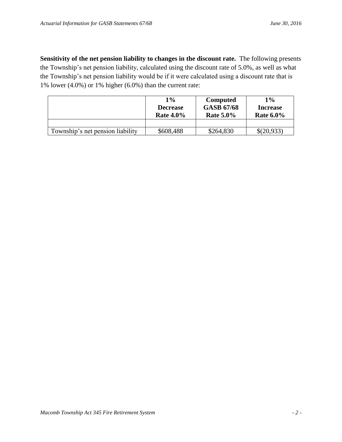**Sensitivity of the net pension liability to changes in the discount rate.** The following presents the Township's net pension liability, calculated using the discount rate of 5.0%, as well as what the Township's net pension liability would be if it were calculated using a discount rate that is 1% lower (4.0%) or 1% higher (6.0%) than the current rate:

|                                  | $1\%$<br><b>Decrease</b><br><b>Rate 4.0%</b> | <b>Computed</b><br><b>GASB 67/68</b><br><b>Rate 5.0%</b> | $1\%$<br><b>Increase</b><br>Rate $6.0\%$ |
|----------------------------------|----------------------------------------------|----------------------------------------------------------|------------------------------------------|
|                                  |                                              |                                                          |                                          |
| Township's net pension liability | \$608,488                                    | \$264,830                                                | \$(20,933)                               |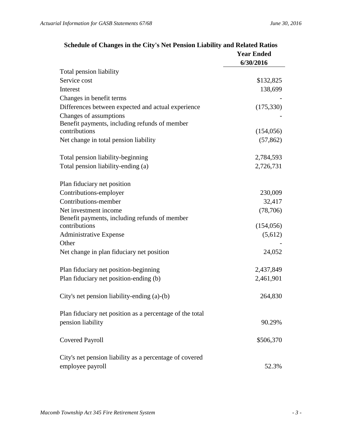|                                                                         | <b>Year Ended</b><br>6/30/2016 |
|-------------------------------------------------------------------------|--------------------------------|
| Total pension liability                                                 |                                |
| Service cost                                                            | \$132,825                      |
| Interest                                                                | 138,699                        |
| Changes in benefit terms                                                |                                |
| Differences between expected and actual experience                      | (175, 330)                     |
| Changes of assumptions<br>Benefit payments, including refunds of member |                                |
| contributions                                                           | (154, 056)                     |
| Net change in total pension liability                                   | (57, 862)                      |
| Total pension liability-beginning                                       | 2,784,593                      |
| Total pension liability-ending (a)                                      | 2,726,731                      |
| Plan fiduciary net position                                             |                                |
| Contributions-employer                                                  | 230,009                        |
| Contributions-member                                                    | 32,417                         |
| Net investment income                                                   | (78, 706)                      |
| Benefit payments, including refunds of member                           |                                |
| contributions                                                           | (154, 056)                     |
| <b>Administrative Expense</b><br>Other                                  | (5,612)                        |
| Net change in plan fiduciary net position                               | 24,052                         |
|                                                                         |                                |
| Plan fiduciary net position-beginning                                   | 2,437,849                      |
| Plan fiduciary net position-ending (b)                                  | 2,461,901                      |
| City's net pension liability-ending (a)-(b)                             | 264,830                        |
| Plan fiduciary net position as a percentage of the total                |                                |
| pension liability                                                       | 90.29%                         |
| <b>Covered Payroll</b>                                                  | \$506,370                      |
| City's net pension liability as a percentage of covered                 |                                |
| employee payroll                                                        | 52.3%                          |

# **Schedule of Changes in the City's Net Pension Liability and Related Ratios**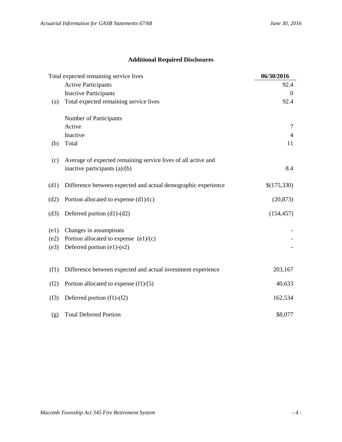# **Additional Required Disclosures**

|                      | Total expected remaining service lives                                                          | 06/30/2016  |
|----------------------|-------------------------------------------------------------------------------------------------|-------------|
|                      | <b>Active Participants</b>                                                                      | 92.4        |
|                      | <b>Inactive Participants</b>                                                                    | $\Omega$    |
| (a)                  | Total expected remaining service lives                                                          | 92.4        |
|                      | Number of Participants                                                                          |             |
|                      | Active                                                                                          | 7           |
|                      | Inactive                                                                                        | 4           |
| (b)                  | Total                                                                                           | 11          |
| (c)                  | Average of expected remaining service lives of all active and<br>inactive participants (a)/(b)  | 8.4         |
| (d1)                 | Difference between expected and actual demographic experience                                   | \$(175,330) |
| (d2)                 | Portion allocated to expense $(d1)/(c)$                                                         | (20, 873)   |
| (d3)                 | Deferred portion $(d1)-(d2)$                                                                    | (154, 457)  |
| (e1)<br>(e2)<br>(e3) | Changes in assumptions<br>Portion allocated to expense $(e1)/(c)$<br>Deferred portion (e1)-(e2) |             |
| (f1)                 | Difference between expected and actual investment experience                                    | 203,167     |
| (f2)                 | Portion allocated to expense $(f1)/(5)$                                                         | 40,633      |
| (f3)                 | Deferred portion (f1)-(f2)                                                                      | 162,534     |
| (g)                  | <b>Total Deferred Portion</b>                                                                   | \$8,077     |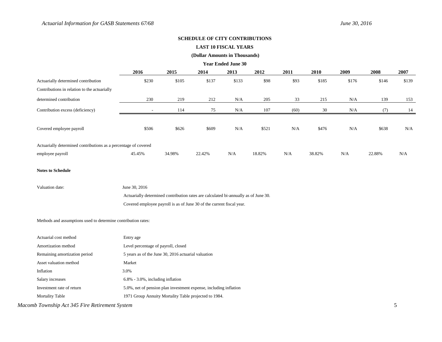#### **SCHEDULE OF CITY CONTRIBUTIONS**

#### **LAST 10 FISCAL YEARS**

#### **(Dollar Amounts in Thousands)**

**Year Ended June 30**

|                                                                 | 2016   | 2015   | 2014   | 2013  | 2012   | 2011 | 2010   | 2009  | 2008   | 2007  |
|-----------------------------------------------------------------|--------|--------|--------|-------|--------|------|--------|-------|--------|-------|
| Actuarially determined contribution                             | \$230  | \$105  | \$137  | \$133 | \$98   | \$93 | \$185  | \$176 | \$146  | \$139 |
| Contributions in relation to the actuarially                    |        |        |        |       |        |      |        |       |        |       |
| determined contribution                                         | 230    | 219    | 212    | N/A   | 205    | 33   | 215    | N/A   | 139    | 153   |
| Contribution excess (deficiency)                                | $\sim$ | 114    | 75     | N/A   | 107    | (60) | 30     | N/A   | (7)    | 14    |
|                                                                 |        |        |        |       |        |      |        |       |        |       |
| Covered employee payroll                                        | \$506  | \$626  | \$609  | N/A   | \$521  | N/A  | \$476  | N/A   | \$638  | N/A   |
|                                                                 |        |        |        |       |        |      |        |       |        |       |
| Actuarially determined contributions as a percentage of covered |        |        |        |       |        |      |        |       |        |       |
| employee payroll                                                | 45.45% | 34.98% | 22.42% | N/A   | 18.82% | N/A  | 38.82% | N/A   | 22.88% | N/A   |

#### **Notes to Schedule**

| Valuation date: | June 30, 2016                                                                       |
|-----------------|-------------------------------------------------------------------------------------|
|                 | Actuarially determined contribution rates are calculated bi-annually as of June 30. |
|                 | Covered employee payroll is as of June 30 of the current fiscal year.               |

#### Methods and assumptions used to determine contribution rates:

| Actuarial cost method         | Entry age                                                         |
|-------------------------------|-------------------------------------------------------------------|
| Amortization method           | Level percentage of payroll, closed                               |
| Remaining amortization period | 5 years as of the June 30, 2016 actuarial valuation               |
| Asset valuation method        | Market                                                            |
| Inflation                     | 3.0%                                                              |
| Salary increases              | $6.8\%$ - 3.0%, including inflation                               |
| Investment rate of return     | 5.0%, net of pension plan investment expense, including inflation |
| <b>Mortality Table</b>        | 1971 Group Annuity Mortality Table projected to 1984.             |

# *Macomb Township Act 345 Fire Retirement System* 5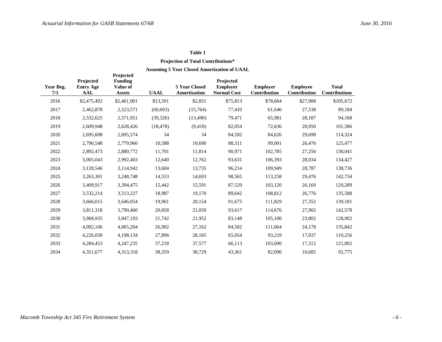# **Projection of Total Contributions\***

| Year Beg.<br>7/1 | Projected<br><b>Entry Age</b><br><b>AAL</b> | Projected<br><b>Funding</b><br>Value of<br><b>Assets</b> | <b>UAAL</b> | 5 Year Closed<br><b>Amortization</b> | Projected<br><b>Employer</b><br><b>Normal Cost</b> | <b>Employer</b><br>Contribution | <b>Employee</b><br>Contribution | <b>Total</b><br><b>Contributions</b> |
|------------------|---------------------------------------------|----------------------------------------------------------|-------------|--------------------------------------|----------------------------------------------------|---------------------------------|---------------------------------|--------------------------------------|
| 2016             | \$2,475,492                                 | \$2,461,901                                              | \$13,591    | \$2,851                              | \$75,813                                           | \$78,664                        | \$27,008                        | \$105,672                            |
| 2017             | 2,462,878                                   | 2,523,571                                                | (60, 693)   | (15,764)                             | 77,410                                             | 61,646                          | 27,538                          | 89,184                               |
| 2018             | 2,532,625                                   | 2,571,951                                                | (39, 326)   | (13, 490)                            | 79,471                                             | 65,981                          | 28,187                          | 94,168                               |
| 2019             | 2,609,948                                   | 2,628,426                                                | (18, 478)   | (9, 418)                             | 82,054                                             | 72,636                          | 28,950                          | 101,586                              |
| 2020             | 2,695,608                                   | 2,695,574                                                | 34          | 34                                   | 84,592                                             | 84,626                          | 29,698                          | 114,324                              |
| 2021             | 2,790,548                                   | 2,779,960                                                | 10,588      | 10,690                               | 88,311                                             | 99,001                          | 26,476                          | 125,477                              |
| 2022             | 2,892,473                                   | 2,880,772                                                | 11,701      | 11,814                               | 90,971                                             | 102,785                         | 27,256                          | 130,041                              |
| 2023             | 3,005,043                                   | 2,992,403                                                | 12,640      | 12,762                               | 93,631                                             | 106,393                         | 28,034                          | 134,427                              |
| 2024             | 3,128,546                                   | 3,114,942                                                | 13,604      | 13,735                               | 96,214                                             | 109,949                         | 28,787                          | 138,736                              |
| 2025             | 3,263,301                                   | 3,248,748                                                | 14,553      | 14,693                               | 98,565                                             | 113,258                         | 29,476                          | 142,734                              |
| 2026             | 3,409,917                                   | 3,394,475                                                | 15,442      | 15,591                               | 87,529                                             | 103,120                         | 26,169                          | 129,289                              |
| 2027             | 3,532,214                                   | 3,513,227                                                | 18,987      | 19,170                               | 89,642                                             | 108,812                         | 26,776                          | 135,588                              |
| 2028             | 3,666,015                                   | 3,646,054                                                | 19,961      | 20,154                               | 91,675                                             | 111,829                         | 27,352                          | 139,181                              |
| 2029             | 3,811,318                                   | 3,790,460                                                | 20,858      | 21,059                               | 93,617                                             | 114,676                         | 27,902                          | 142,578                              |
| 2030             | 3,968,935                                   | 3,947,193                                                | 21,742      | 21,952                               | 83,148                                             | 105,100                         | 23,802                          | 128,902                              |
| 2031             | 4,092,106                                   | 4,065,204                                                | 26,902      | 27,162                               | 84,502                                             | 111,664                         | 24,178                          | 135,842                              |
| 2032             | 4,226,030                                   | 4,198,134                                                | 27,896      | 28,165                               | 65,054                                             | 93,219                          | 17,037                          | 110,256                              |
| 2033             | 4,284,453                                   | 4,247,235                                                | 37,218      | 37,577                               | 66,113                                             | 103,690                         | 17,312                          | 121,002                              |
| 2034             | 4,351,677                                   | 4,313,318                                                | 38,359      | 38,729                               | 43,361                                             | 82,090                          | 10,685                          | 92,775                               |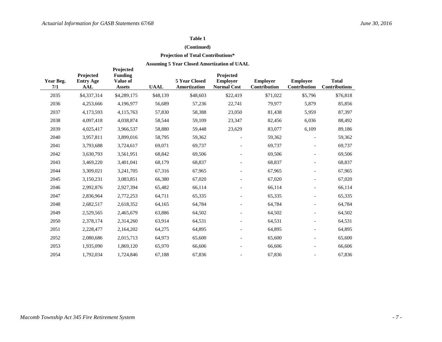### **(Continued)**

### **Projection of Total Contributions\***

| Year Beg.<br>7/1 | Projected<br><b>Entry Age</b><br><b>AAL</b> | Projected<br>Funding<br>Value of<br><b>Assets</b> | <b>UAAL</b> | 5 Year Closed<br>Amortization | Projected<br><b>Employer</b><br><b>Normal Cost</b> | <b>Employer</b><br>Contribution | <b>Employee</b><br>Contribution | <b>Total</b><br><b>Contributions</b> |
|------------------|---------------------------------------------|---------------------------------------------------|-------------|-------------------------------|----------------------------------------------------|---------------------------------|---------------------------------|--------------------------------------|
| 2035             | \$4,337,314                                 | \$4,289,175                                       | \$48,139    | \$48,603                      | \$22,419                                           | \$71,022                        | \$5,796                         | \$76,818                             |
| 2036             | 4,253,666                                   | 4,196,977                                         | 56,689      | 57,236                        | 22,741                                             | 79,977                          | 5,879                           | 85,856                               |
| 2037             | 4,173,593                                   | 4,115,763                                         | 57,830      | 58,388                        | 23,050                                             | 81,438                          | 5,959                           | 87,397                               |
| 2038             | 4,097,418                                   | 4,038,874                                         | 58,544      | 59,109                        | 23,347                                             | 82,456                          | 6,036                           | 88,492                               |
| 2039             | 4,025,417                                   | 3,966,537                                         | 58,880      | 59,448                        | 23,629                                             | 83,077                          | 6,109                           | 89,186                               |
| 2040             | 3,957,811                                   | 3,899,016                                         | 58,795      | 59,362                        |                                                    | 59,362                          |                                 | 59,362                               |
| 2041             | 3,793,688                                   | 3,724,617                                         | 69,071      | 69,737                        |                                                    | 69,737                          |                                 | 69,737                               |
| 2042             | 3,630,793                                   | 3,561,951                                         | 68,842      | 69,506                        |                                                    | 69,506                          |                                 | 69,506                               |
| 2043             | 3,469,220                                   | 3,401,041                                         | 68,179      | 68,837                        |                                                    | 68,837                          |                                 | 68,837                               |
| 2044             | 3,309,021                                   | 3,241,705                                         | 67,316      | 67,965                        |                                                    | 67,965                          |                                 | 67,965                               |
| 2045             | 3,150,231                                   | 3,083,851                                         | 66,380      | 67,020                        |                                                    | 67,020                          |                                 | 67,020                               |
| 2046             | 2,992,876                                   | 2,927,394                                         | 65,482      | 66,114                        |                                                    | 66,114                          | $\overline{\phantom{a}}$        | 66,114                               |
| 2047             | 2,836,964                                   | 2,772,253                                         | 64,711      | 65,335                        |                                                    | 65,335                          | $\overline{a}$                  | 65,335                               |
| 2048             | 2,682,517                                   | 2,618,352                                         | 64,165      | 64,784                        |                                                    | 64,784                          | $\overline{a}$                  | 64,784                               |
| 2049             | 2,529,565                                   | 2,465,679                                         | 63,886      | 64,502                        | $\overline{\phantom{a}}$                           | 64,502                          | ÷,                              | 64,502                               |
| 2050             | 2,378,174                                   | 2,314,260                                         | 63,914      | 64,531                        | $\overline{a}$                                     | 64,531                          | $\overline{a}$                  | 64,531                               |
| 2051             | 2,228,477                                   | 2,164,202                                         | 64,275      | 64,895                        |                                                    | 64,895                          |                                 | 64,895                               |
| 2052             | 2,080,686                                   | 2,015,713                                         | 64,973      | 65,600                        |                                                    | 65,600                          |                                 | 65,600                               |
| 2053             | 1,935,090                                   | 1,869,120                                         | 65,970      | 66,606                        |                                                    | 66,606                          |                                 | 66,606                               |
| 2054             | 1,792,034                                   | 1,724,846                                         | 67,188      | 67,836                        |                                                    | 67,836                          |                                 | 67,836                               |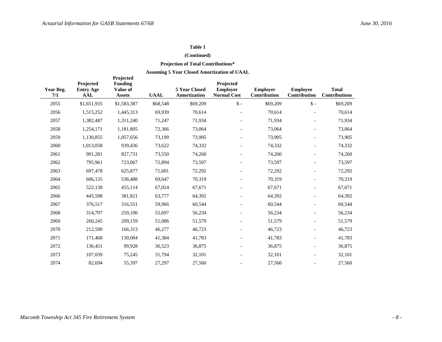#### **(Continued)**

# **Projection of Total Contributions\***

| Year Beg.<br>7/1 | Projected<br><b>Entry Age</b><br><b>AAL</b> | Projected<br><b>Funding</b><br>Value of<br><b>Assets</b> | <b>UAAL</b> | 5 Year Closed<br><b>Amortization</b> | Projected<br><b>Employer</b><br><b>Normal Cost</b> | <b>Employer</b><br>Contribution | <b>Employee</b><br>Contribution | <b>Total</b><br><b>Contributions</b> |
|------------------|---------------------------------------------|----------------------------------------------------------|-------------|--------------------------------------|----------------------------------------------------|---------------------------------|---------------------------------|--------------------------------------|
| 2055             | \$1,651,935                                 | \$1,583,387                                              | \$68,548    | \$69,209                             | $\mathsf{\$}$ -                                    | \$69,209                        | $\mathsf{\$}$ -                 | \$69,209                             |
| 2056             | 1,515,252                                   | 1,445,313                                                | 69,939      | 70,614                               |                                                    | 70,614                          |                                 | 70,614                               |
| 2057             | 1,382,487                                   | 1,311,240                                                | 71,247      | 71,934                               |                                                    | 71,934                          |                                 | 71,934                               |
| 2058             | 1,254,171                                   | 1,181,805                                                | 72,366      | 73,064                               |                                                    | 73,064                          |                                 | 73,064                               |
| 2059             | 1,130,855                                   | 1,057,656                                                | 73,199      | 73,905                               |                                                    | 73,905                          |                                 | 73,905                               |
| 2060             | 1,013,058                                   | 939,436                                                  | 73,622      | 74,332                               |                                                    | 74,332                          |                                 | 74,332                               |
| 2061             | 901,281                                     | 827,731                                                  | 73,550      | 74,260                               |                                                    | 74,260                          |                                 | 74,260                               |
| 2062             | 795,961                                     | 723,067                                                  | 72,894      | 73,597                               |                                                    | 73,597                          |                                 | 73,597                               |
| 2063             | 697,478                                     | 625,877                                                  | 71,601      | 72,292                               |                                                    | 72,292                          |                                 | 72,292                               |
| 2064             | 606,135                                     | 536,488                                                  | 69,647      | 70,319                               |                                                    | 70,319                          |                                 | 70,319                               |
| 2065             | 522,138                                     | 455,114                                                  | 67,024      | 67,671                               |                                                    | 67,671                          |                                 | 67,671                               |
| 2066             | 445,598                                     | 381,821                                                  | 63,777      | 64,392                               |                                                    | 64,392                          | $\blacksquare$                  | 64,392                               |
| 2067             | 376,517                                     | 316,551                                                  | 59,966      | 60,544                               |                                                    | 60,544                          |                                 | 60,544                               |
| 2068             | 314,797                                     | 259,100                                                  | 55,697      | 56,234                               |                                                    | 56,234                          |                                 | 56,234                               |
| 2069             | 260,245                                     | 209,159                                                  | 51,086      | 51,579                               |                                                    | 51,579                          | $\blacksquare$                  | 51,579                               |
| 2070             | 212,590                                     | 166,313                                                  | 46,277      | 46,723                               |                                                    | 46,723                          |                                 | 46,723                               |
| 2071             | 171,468                                     | 130,084                                                  | 41,384      | 41,783                               |                                                    | 41,783                          |                                 | 41,783                               |
| 2072             | 136,451                                     | 99,928                                                   | 36,523      | 36,875                               |                                                    | 36,875                          |                                 | 36,875                               |
| 2073             | 107,039                                     | 75,245                                                   | 31,794      | 32,101                               |                                                    | 32,101                          | $\overline{a}$                  | 32,101                               |
| 2074             | 82,694                                      | 55,397                                                   | 27,297      | 27,560                               |                                                    | 27,560                          |                                 | 27,560                               |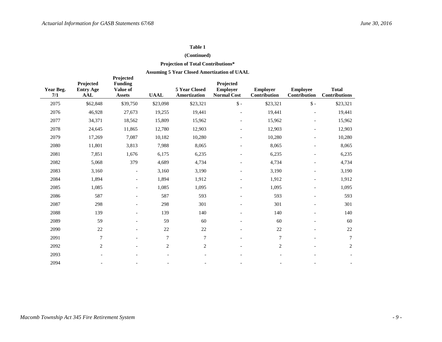#### **(Continued)**

# **Projection of Total Contributions\***

| Year Beg.<br>7/1 | Projected<br><b>Entry Age</b><br><b>AAL</b> | Projected<br><b>Funding</b><br>Value of<br><b>Assets</b> | <b>UAAL</b>              | 5 Year Closed<br>Amortization | Projected<br><b>Employer</b><br><b>Normal Cost</b> | <b>Employer</b><br>Contribution | <b>Employee</b><br>Contribution | <b>Total</b><br><b>Contributions</b> |
|------------------|---------------------------------------------|----------------------------------------------------------|--------------------------|-------------------------------|----------------------------------------------------|---------------------------------|---------------------------------|--------------------------------------|
| 2075             | \$62,848                                    | \$39,750                                                 | \$23,098                 | \$23,321                      | $\mathsf{\$}$ -                                    | \$23,321                        | $\$ -                           | \$23,321                             |
| 2076             | 46,928                                      | 27,673                                                   | 19,255                   | 19,441                        | $\overline{a}$                                     | 19,441                          | $\overline{\phantom{a}}$        | 19,441                               |
| 2077             | 34,371                                      | 18,562                                                   | 15,809                   | 15,962                        |                                                    | 15,962                          |                                 | 15,962                               |
| 2078             | 24,645                                      | 11,865                                                   | 12,780                   | 12,903                        |                                                    | 12,903                          |                                 | 12,903                               |
| 2079             | 17,269                                      | 7,087                                                    | 10,182                   | 10,280                        |                                                    | 10,280                          |                                 | 10,280                               |
| 2080             | 11,801                                      | 3,813                                                    | 7,988                    | 8,065                         |                                                    | 8,065                           |                                 | 8,065                                |
| 2081             | 7,851                                       | 1,676                                                    | 6,175                    | 6,235                         |                                                    | 6,235                           |                                 | 6,235                                |
| 2082             | 5,068                                       | 379                                                      | 4,689                    | 4,734                         |                                                    | 4,734                           |                                 | 4,734                                |
| 2083             | 3,160                                       | $\overline{\phantom{0}}$                                 | 3,160                    | 3,190                         |                                                    | 3,190                           |                                 | 3,190                                |
| 2084             | 1,894                                       | $\overline{\phantom{a}}$                                 | 1,894                    | 1,912                         |                                                    | 1,912                           |                                 | 1,912                                |
| 2085             | 1,085                                       | $\overline{\phantom{a}}$                                 | 1,085                    | 1,095                         |                                                    | 1,095                           |                                 | 1,095                                |
| 2086             | 587                                         | $\overline{\phantom{a}}$                                 | 587                      | 593                           | $\overline{\phantom{a}}$                           | 593                             |                                 | 593                                  |
| 2087             | 298                                         |                                                          | 298                      | 301                           |                                                    | 301                             |                                 | 301                                  |
| 2088             | 139                                         | $\overline{a}$                                           | 139                      | 140                           | $\overline{a}$                                     | 140                             | $\overline{a}$                  | 140                                  |
| 2089             | 59                                          |                                                          | 59                       | 60                            |                                                    | 60                              |                                 | 60                                   |
| 2090             | 22                                          |                                                          | 22                       | 22                            |                                                    | 22                              |                                 | 22                                   |
| 2091             | $\overline{7}$                              | $\overline{a}$                                           | $\boldsymbol{7}$         | $\overline{7}$                |                                                    | $\tau$                          |                                 | 7                                    |
| 2092             | $\mathbf{2}$                                |                                                          | $\sqrt{2}$               | $\overline{2}$                |                                                    | 2                               |                                 | $\mathbf{2}$                         |
| 2093             | $\overline{\phantom{a}}$                    | $\overline{\phantom{a}}$                                 | $\overline{\phantom{a}}$ | $\overline{\phantom{a}}$      | $\overline{\phantom{a}}$                           |                                 |                                 |                                      |
| 2094             |                                             |                                                          |                          |                               |                                                    |                                 |                                 |                                      |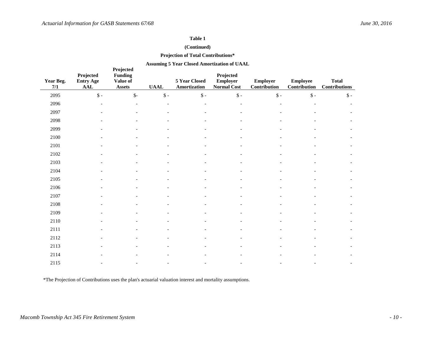### **(Continued)**

#### **Projection of Total Contributions\***

#### **Assuming 5 Year Closed Amortization of UAAL**

| Year Beg.<br>7/1 | Projected<br><b>Entry Age</b><br><b>AAL</b> | Projected<br><b>Funding</b><br>Value of<br><b>Assets</b> | <b>UAAL</b>    | 5 Year Closed<br>Amortization | Projected<br><b>Employer</b><br>Normal Cost | <b>Employer</b><br>Contribution | <b>Employee</b><br>Contribution | <b>Total</b><br><b>Contributions</b> |
|------------------|---------------------------------------------|----------------------------------------------------------|----------------|-------------------------------|---------------------------------------------|---------------------------------|---------------------------------|--------------------------------------|
| 2095             | $\mathsf{\$}$ -                             | $\mathsf{S}$ -                                           | $\mathbb{S}$ - | $\$\$ -                       | $\mathbb{S}$ -                              | $\$ -                           | $\mathbb{S}$ -                  | $\mathsf{\$}$ -                      |
| 2096             |                                             |                                                          |                |                               |                                             |                                 |                                 |                                      |
| 2097             |                                             |                                                          |                |                               |                                             |                                 |                                 |                                      |
| 2098             |                                             |                                                          |                |                               |                                             |                                 |                                 |                                      |
| 2099             |                                             |                                                          |                |                               |                                             |                                 |                                 |                                      |
| 2100             |                                             |                                                          |                |                               |                                             |                                 |                                 |                                      |
| 2101             |                                             |                                                          |                |                               |                                             |                                 |                                 |                                      |
| 2102             |                                             |                                                          |                |                               |                                             |                                 |                                 |                                      |
| 2103             |                                             |                                                          |                |                               |                                             |                                 |                                 |                                      |
| 2104             |                                             |                                                          |                |                               |                                             |                                 |                                 |                                      |
| 2105             |                                             |                                                          |                |                               |                                             |                                 |                                 |                                      |
| 2106             |                                             |                                                          |                |                               |                                             |                                 |                                 |                                      |
| 2107             |                                             |                                                          |                |                               |                                             |                                 |                                 |                                      |
| 2108             |                                             |                                                          |                |                               |                                             |                                 |                                 |                                      |
| 2109             |                                             |                                                          |                |                               |                                             |                                 |                                 |                                      |
| 2110             |                                             |                                                          |                |                               |                                             |                                 |                                 |                                      |
| 2111             |                                             |                                                          |                |                               |                                             |                                 |                                 |                                      |
| 2112             |                                             |                                                          |                |                               |                                             |                                 |                                 |                                      |
| 2113             |                                             |                                                          |                |                               |                                             |                                 |                                 |                                      |
| 2114             |                                             |                                                          |                |                               |                                             |                                 |                                 |                                      |
| 2115             |                                             |                                                          |                |                               |                                             |                                 |                                 |                                      |

\*The Projection of Contributions uses the plan's actuarial valuation interest and mortality assumptions.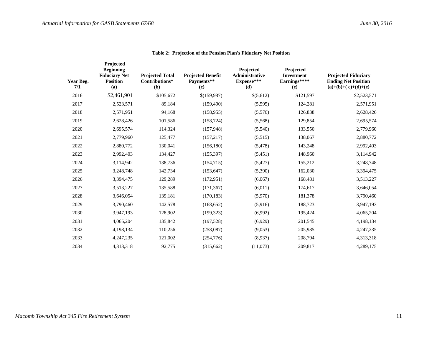| Year Beg.<br>7/1 | Projected<br><b>Beginning</b><br><b>Fiduciary Net</b><br><b>Position</b><br>(a) | <b>Projected Total</b><br>Contributions*<br>(b) | <b>Projected Benefit</b><br>Payments**<br>(c) | Projected<br>Administrative<br>Expense***<br>(d) | Projected<br><b>Investment</b><br>Earnings****<br>(e) | <b>Projected Fiduciary</b><br><b>Ending Net Position</b><br>$(a)+(b)+(c)+(d)+(e)$ |
|------------------|---------------------------------------------------------------------------------|-------------------------------------------------|-----------------------------------------------|--------------------------------------------------|-------------------------------------------------------|-----------------------------------------------------------------------------------|
| 2016             | \$2,461,901                                                                     | \$105,672                                       | \$(159,987)                                   | \$(5,612)                                        | \$121,597                                             | \$2,523,571                                                                       |
| 2017             | 2,523,571                                                                       | 89,184                                          | (159, 490)                                    | (5,595)                                          | 124,281                                               | 2,571,951                                                                         |
| 2018             | 2,571,951                                                                       | 94,168                                          | (158, 955)                                    | (5,576)                                          | 126,838                                               | 2,628,426                                                                         |
| 2019             | 2,628,426                                                                       | 101,586                                         | (158, 724)                                    | (5,568)                                          | 129,854                                               | 2,695,574                                                                         |
| 2020             | 2,695,574                                                                       | 114,324                                         | (157, 948)                                    | (5,540)                                          | 133,550                                               | 2,779,960                                                                         |
| 2021             | 2,779,960                                                                       | 125,477                                         | (157, 217)                                    | (5,515)                                          | 138,067                                               | 2,880,772                                                                         |
| 2022             | 2,880,772                                                                       | 130,041                                         | (156, 180)                                    | (5,478)                                          | 143,248                                               | 2,992,403                                                                         |
| 2023             | 2,992,403                                                                       | 134,427                                         | (155, 397)                                    | (5,451)                                          | 148,960                                               | 3,114,942                                                                         |
| 2024             | 3,114,942                                                                       | 138,736                                         | (154, 715)                                    | (5, 427)                                         | 155,212                                               | 3,248,748                                                                         |
| 2025             | 3,248,748                                                                       | 142,734                                         | (153, 647)                                    | (5,390)                                          | 162,030                                               | 3,394,475                                                                         |
| 2026             | 3,394,475                                                                       | 129,289                                         | (172, 951)                                    | (6,067)                                          | 168,481                                               | 3,513,227                                                                         |
| 2027             | 3,513,227                                                                       | 135,588                                         | (171, 367)                                    | (6,011)                                          | 174,617                                               | 3,646,054                                                                         |
| 2028             | 3,646,054                                                                       | 139,181                                         | (170, 183)                                    | (5,970)                                          | 181,378                                               | 3,790,460                                                                         |
| 2029             | 3,790,460                                                                       | 142,578                                         | (168, 652)                                    | (5,916)                                          | 188,723                                               | 3,947,193                                                                         |
| 2030             | 3,947,193                                                                       | 128,902                                         | (199, 323)                                    | (6,992)                                          | 195,424                                               | 4,065,204                                                                         |
| 2031             | 4,065,204                                                                       | 135,842                                         | (197, 528)                                    | (6,929)                                          | 201,545                                               | 4,198,134                                                                         |
| 2032             | 4,198,134                                                                       | 110,256                                         | (258,087)                                     | (9,053)                                          | 205,985                                               | 4,247,235                                                                         |
| 2033             | 4,247,235                                                                       | 121,002                                         | (254, 776)                                    | (8,937)                                          | 208,794                                               | 4,313,318                                                                         |
| 2034             | 4,313,318                                                                       | 92,775                                          | (315, 662)                                    | (11,073)                                         | 209,817                                               | 4,289,175                                                                         |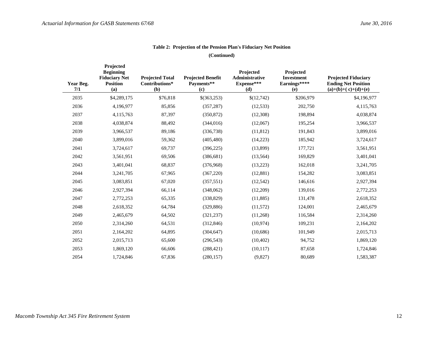| Year Beg.<br>7/1 | Projected<br><b>Beginning</b><br><b>Fiduciary Net</b><br><b>Position</b><br>(a) | <b>Projected Total</b><br>Contributions*<br>(b) | <b>Projected Benefit</b><br>Payments**<br>(c) | Projected<br><b>Administrative</b><br>Expense***<br>(d) | Projected<br><b>Investment</b><br>Earnings****<br>(e) | <b>Projected Fiduciary</b><br><b>Ending Net Position</b><br>$(a)+(b)+(c)+(d)+(e)$ |
|------------------|---------------------------------------------------------------------------------|-------------------------------------------------|-----------------------------------------------|---------------------------------------------------------|-------------------------------------------------------|-----------------------------------------------------------------------------------|
| 2035             | \$4,289,175                                                                     | \$76,818                                        | \$(363,253)                                   | \$(12,742)                                              | \$206,979                                             | \$4,196,977                                                                       |
| 2036             | 4,196,977                                                                       | 85,856                                          | (357, 287)                                    | (12, 533)                                               | 202,750                                               | 4,115,763                                                                         |
| 2037             | 4,115,763                                                                       | 87,397                                          | (350, 872)                                    | (12,308)                                                | 198,894                                               | 4,038,874                                                                         |
| 2038             | 4,038,874                                                                       | 88,492                                          | (344, 016)                                    | (12,067)                                                | 195,254                                               | 3,966,537                                                                         |
| 2039             | 3,966,537                                                                       | 89,186                                          | (336,738)                                     | (11, 812)                                               | 191,843                                               | 3,899,016                                                                         |
| 2040             | 3,899,016                                                                       | 59,362                                          | (405, 480)                                    | (14,223)                                                | 185,942                                               | 3,724,617                                                                         |
| 2041             | 3,724,617                                                                       | 69,737                                          | (396, 225)                                    | (13,899)                                                | 177,721                                               | 3,561,951                                                                         |
| 2042             | 3,561,951                                                                       | 69,506                                          | (386, 681)                                    | (13, 564)                                               | 169,829                                               | 3,401,041                                                                         |
| 2043             | 3,401,041                                                                       | 68,837                                          | (376,968)                                     | (13,223)                                                | 162,018                                               | 3,241,705                                                                         |
| 2044             | 3,241,705                                                                       | 67,965                                          | (367, 220)                                    | (12, 881)                                               | 154,282                                               | 3,083,851                                                                         |
| 2045             | 3,083,851                                                                       | 67,020                                          | (357, 551)                                    | (12, 542)                                               | 146,616                                               | 2,927,394                                                                         |
| 2046             | 2,927,394                                                                       | 66,114                                          | (348,062)                                     | (12,209)                                                | 139,016                                               | 2,772,253                                                                         |
| 2047             | 2,772,253                                                                       | 65,335                                          | (338, 829)                                    | (11, 885)                                               | 131,478                                               | 2,618,352                                                                         |
| 2048             | 2,618,352                                                                       | 64,784                                          | (329, 886)                                    | (11,572)                                                | 124,001                                               | 2,465,679                                                                         |
| 2049             | 2,465,679                                                                       | 64,502                                          | (321, 237)                                    | (11,268)                                                | 116,584                                               | 2,314,260                                                                         |
| 2050             | 2,314,260                                                                       | 64,531                                          | (312, 846)                                    | (10, 974)                                               | 109,231                                               | 2,164,202                                                                         |
| 2051             | 2,164,202                                                                       | 64,895                                          | (304, 647)                                    | (10,686)                                                | 101,949                                               | 2,015,713                                                                         |
| 2052             | 2,015,713                                                                       | 65,600                                          | (296, 543)                                    | (10, 402)                                               | 94,752                                                | 1,869,120                                                                         |
| 2053             | 1,869,120                                                                       | 66,606                                          | (288, 421)                                    | (10, 117)                                               | 87,658                                                | 1,724,846                                                                         |
| 2054             | 1,724,846                                                                       | 67,836                                          | (280, 157)                                    | (9,827)                                                 | 80,689                                                | 1,583,387                                                                         |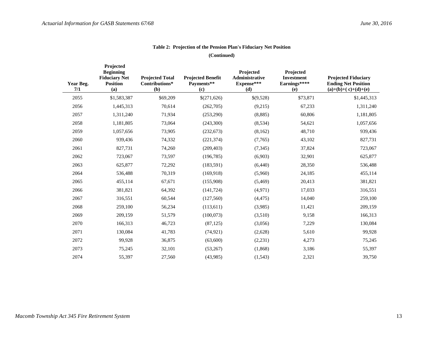| Year Beg.<br>7/1 | Projected<br><b>Beginning</b><br><b>Fiduciary Net</b><br><b>Position</b><br>(a) | <b>Projected Total</b><br>Contributions*<br>(b) | <b>Projected Benefit</b><br>Payments**<br>(c) | Projected<br>Administrative<br>Expense***<br>(d) | Projected<br><b>Investment</b><br>Earnings****<br>(e) | <b>Projected Fiduciary</b><br><b>Ending Net Position</b><br>$(a)+(b)+(c)+(d)+(e)$ |
|------------------|---------------------------------------------------------------------------------|-------------------------------------------------|-----------------------------------------------|--------------------------------------------------|-------------------------------------------------------|-----------------------------------------------------------------------------------|
| 2055             | \$1,583,387                                                                     | \$69,209                                        | \$(271,626)                                   | \$(9,528)                                        | \$73,871                                              | \$1,445,313                                                                       |
| 2056             | 1,445,313                                                                       | 70,614                                          | (262,705)                                     | (9,215)                                          | 67,233                                                | 1,311,240                                                                         |
| 2057             | 1,311,240                                                                       | 71,934                                          | (253,290)                                     | (8, 885)                                         | 60,806                                                | 1,181,805                                                                         |
| 2058             | 1,181,805                                                                       | 73,064                                          | (243,300)                                     | (8,534)                                          | 54,621                                                | 1,057,656                                                                         |
| 2059             | 1,057,656                                                                       | 73,905                                          | (232, 673)                                    | (8,162)                                          | 48,710                                                | 939,436                                                                           |
| 2060             | 939,436                                                                         | 74,332                                          | (221, 374)                                    | (7,765)                                          | 43,102                                                | 827,731                                                                           |
| 2061             | 827,731                                                                         | 74,260                                          | (209, 403)                                    | (7, 345)                                         | 37,824                                                | 723,067                                                                           |
| 2062             | 723,067                                                                         | 73,597                                          | (196, 785)                                    | (6,903)                                          | 32,901                                                | 625,877                                                                           |
| 2063             | 625,877                                                                         | 72,292                                          | (183, 591)                                    | (6,440)                                          | 28,350                                                | 536,488                                                                           |
| 2064             | 536,488                                                                         | 70,319                                          | (169, 918)                                    | (5,960)                                          | 24,185                                                | 455,114                                                                           |
| 2065             | 455,114                                                                         | 67,671                                          | (155,908)                                     | (5,469)                                          | 20,413                                                | 381,821                                                                           |
| 2066             | 381,821                                                                         | 64,392                                          | (141, 724)                                    | (4,971)                                          | 17,033                                                | 316,551                                                                           |
| 2067             | 316,551                                                                         | 60,544                                          | (127,560)                                     | (4, 475)                                         | 14,040                                                | 259,100                                                                           |
| 2068             | 259,100                                                                         | 56,234                                          | (113,611)                                     | (3,985)                                          | 11,421                                                | 209,159                                                                           |
| 2069             | 209,159                                                                         | 51,579                                          | (100,073)                                     | (3,510)                                          | 9,158                                                 | 166,313                                                                           |
| 2070             | 166,313                                                                         | 46,723                                          | (87, 125)                                     | (3,056)                                          | 7,229                                                 | 130,084                                                                           |
| 2071             | 130,084                                                                         | 41,783                                          | (74, 921)                                     | (2,628)                                          | 5,610                                                 | 99,928                                                                            |
| 2072             | 99,928                                                                          | 36,875                                          | (63,600)                                      | (2,231)                                          | 4,273                                                 | 75,245                                                                            |
| 2073             | 75,245                                                                          | 32,101                                          | (53,267)                                      | (1,868)                                          | 3,186                                                 | 55,397                                                                            |
| 2074             | 55,397                                                                          | 27,560                                          | (43,985)                                      | (1, 543)                                         | 2,321                                                 | 39,750                                                                            |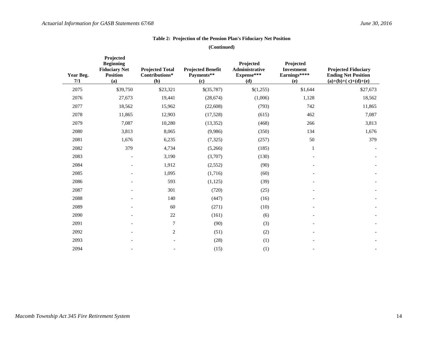| Year Beg.<br>7/1 | Projected<br><b>Beginning</b><br><b>Fiduciary Net</b><br><b>Position</b><br>(a) | <b>Projected Total</b><br>Contributions*<br>(b) | <b>Projected Benefit</b><br>Payments**<br>(c) | Projected<br>Administrative<br>Expense***<br>(d) | Projected<br><b>Investment</b><br>Earnings****<br>(e) | <b>Projected Fiduciary</b><br><b>Ending Net Position</b><br>$(a)+(b)+(c)+(d)+(e)$ |
|------------------|---------------------------------------------------------------------------------|-------------------------------------------------|-----------------------------------------------|--------------------------------------------------|-------------------------------------------------------|-----------------------------------------------------------------------------------|
| 2075             | \$39,750                                                                        | \$23,321                                        | \$(35,787)                                    | \$(1,255)                                        | \$1,644                                               | \$27,673                                                                          |
| 2076             | 27,673                                                                          | 19,441                                          | (28, 674)                                     | (1,006)                                          | 1,128                                                 | 18,562                                                                            |
| 2077             | 18,562                                                                          | 15,962                                          | (22, 608)                                     | (793)                                            | 742                                                   | 11,865                                                                            |
| 2078             | 11,865                                                                          | 12,903                                          | (17,528)                                      | (615)                                            | 462                                                   | 7,087                                                                             |
| 2079             | 7,087                                                                           | 10,280                                          | (13, 352)                                     | (468)                                            | 266                                                   | 3,813                                                                             |
| 2080             | 3,813                                                                           | 8,065                                           | (9,986)                                       | (350)                                            | 134                                                   | 1,676                                                                             |
| 2081             | 1,676                                                                           | 6,235                                           | (7, 325)                                      | (257)                                            | 50                                                    | 379                                                                               |
| 2082             | 379                                                                             | 4,734                                           | (5,266)                                       | (185)                                            | 1                                                     |                                                                                   |
| 2083             |                                                                                 | 3,190                                           | (3,707)                                       | (130)                                            |                                                       |                                                                                   |
| 2084             |                                                                                 | 1,912                                           | (2, 552)                                      | (90)                                             |                                                       |                                                                                   |
| 2085             |                                                                                 | 1,095                                           | (1,716)                                       | (60)                                             |                                                       |                                                                                   |
| 2086             |                                                                                 | 593                                             | (1, 125)                                      | (39)                                             |                                                       |                                                                                   |
| 2087             |                                                                                 | 301                                             | (720)                                         | (25)                                             |                                                       |                                                                                   |
| 2088             |                                                                                 | 140                                             | (447)                                         | (16)                                             |                                                       |                                                                                   |
| 2089             |                                                                                 | 60                                              | (271)                                         | (10)                                             |                                                       |                                                                                   |
| 2090             |                                                                                 | $22\,$                                          | (161)                                         | (6)                                              |                                                       |                                                                                   |
| 2091             |                                                                                 | $\overline{7}$                                  | (90)                                          | (3)                                              |                                                       |                                                                                   |
| 2092             |                                                                                 | $\mathbf{2}$                                    | (51)                                          | (2)                                              |                                                       |                                                                                   |
| 2093             |                                                                                 | $\overline{\phantom{a}}$                        | (28)                                          | (1)                                              |                                                       |                                                                                   |
| 2094             |                                                                                 |                                                 | (15)                                          | (1)                                              | $\overline{\phantom{a}}$                              |                                                                                   |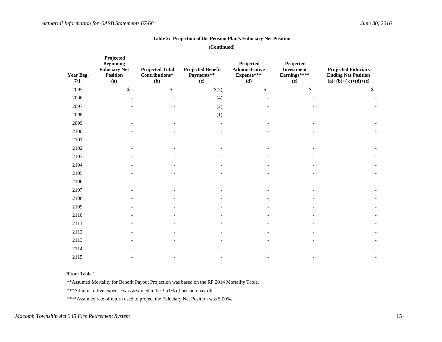**(Continued)** 

| Year Beg.<br>7/1 | Projected<br><b>Beginning</b><br><b>Fiduciary Net</b><br><b>Position</b><br>(a) | <b>Projected Total</b><br>$Continuous*$<br>(b) | <b>Projected Benefit</b><br>Payments**<br>(c) | Projected<br>Administrative<br>Expense***<br>(d) | Projected<br><b>Investment</b><br>Earnings****<br>(e) | <b>Projected Fiduciary</b><br><b>Ending Net Position</b><br>$(a)+(b)+(c)+(d)+(e)$ |
|------------------|---------------------------------------------------------------------------------|------------------------------------------------|-----------------------------------------------|--------------------------------------------------|-------------------------------------------------------|-----------------------------------------------------------------------------------|
| 2095             | $\$\$ -                                                                         | $\$\$ -                                        | \$(7)                                         | $\mathsf{\$}$ -                                  | $\mathsf{\$}$ -                                       | $\mathsf{\$}$ -                                                                   |
| 2096             |                                                                                 |                                                | (4)                                           |                                                  |                                                       |                                                                                   |
| 2097             |                                                                                 |                                                | (2)                                           |                                                  |                                                       |                                                                                   |
| 2098             |                                                                                 |                                                | (1)                                           |                                                  |                                                       |                                                                                   |
| 2099             |                                                                                 |                                                |                                               |                                                  |                                                       |                                                                                   |
| 2100             |                                                                                 |                                                |                                               |                                                  |                                                       |                                                                                   |
| 2101             |                                                                                 |                                                |                                               |                                                  |                                                       |                                                                                   |
| 2102             |                                                                                 |                                                |                                               |                                                  |                                                       |                                                                                   |
| 2103             |                                                                                 |                                                |                                               |                                                  |                                                       |                                                                                   |
| 2104             |                                                                                 |                                                |                                               |                                                  |                                                       |                                                                                   |
| 2105             |                                                                                 |                                                |                                               |                                                  |                                                       |                                                                                   |
| 2106             |                                                                                 |                                                |                                               |                                                  |                                                       |                                                                                   |
| 2107             |                                                                                 |                                                |                                               |                                                  |                                                       |                                                                                   |
| 2108             |                                                                                 |                                                |                                               |                                                  |                                                       |                                                                                   |
| 2109             |                                                                                 |                                                |                                               |                                                  |                                                       |                                                                                   |
| 2110             |                                                                                 |                                                |                                               |                                                  |                                                       |                                                                                   |
| 2111             |                                                                                 |                                                |                                               |                                                  |                                                       |                                                                                   |
| 2112             |                                                                                 |                                                |                                               |                                                  |                                                       |                                                                                   |
| 2113             |                                                                                 |                                                |                                               |                                                  |                                                       |                                                                                   |
| 2114             |                                                                                 |                                                |                                               |                                                  |                                                       |                                                                                   |
| 2115             |                                                                                 |                                                |                                               |                                                  |                                                       |                                                                                   |

\*From Table 1.

\*\*Assumed Mortality for Benefit Payout Projection was based on the RP 2014 Mortality Table.

\*\*\*Administrative expense was assumed to be 3.51% of pension payroll.

\*\*\*\*Assumed rate of return used to project the Fiduciary Net Position was 5.00%,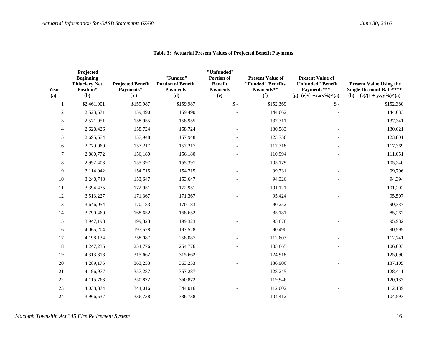| Year<br>(a)    | Projected<br><b>Beginning</b><br><b>Fiduciary Net</b><br>Position*<br>(b) | <b>Projected Benefit</b><br>Payments*<br>(c) | "Funded"<br><b>Portion of Benefit</b><br><b>Payments</b><br>(d) | "Unfunded"<br>Portion of<br><b>Benefit</b><br><b>Payments</b><br>(e) | <b>Present Value of</b><br>"Funded" Benefits<br>Payments**<br>(f) | <b>Present Value of</b><br>"Unfunded" Benefit<br>Payments***<br>$(g)=(e)/(1+x,xx\%)^{\wedge}(a)$ | <b>Present Value Using the</b><br><b>Single Discount Rate****</b><br>$(h) = (c)/(1 + y.yy\%)$ <sup><math>\wedge</math></sup> (a) |
|----------------|---------------------------------------------------------------------------|----------------------------------------------|-----------------------------------------------------------------|----------------------------------------------------------------------|-------------------------------------------------------------------|--------------------------------------------------------------------------------------------------|----------------------------------------------------------------------------------------------------------------------------------|
| 1              | \$2,461,901                                                               | \$159,987                                    | \$159,987                                                       | $\mathsf{\$}$ -                                                      | \$152,369                                                         | $\mathsf{\$}$ -                                                                                  | \$152,380                                                                                                                        |
| $\overline{2}$ | 2,523,571                                                                 | 159,490                                      | 159,490                                                         |                                                                      | 144,662                                                           |                                                                                                  | 144,683                                                                                                                          |
| 3              | 2,571,951                                                                 | 158,955                                      | 158,955                                                         |                                                                      | 137,311                                                           |                                                                                                  | 137,341                                                                                                                          |
| $\overline{4}$ | 2,628,426                                                                 | 158,724                                      | 158,724                                                         |                                                                      | 130,583                                                           |                                                                                                  | 130,621                                                                                                                          |
| $\sqrt{5}$     | 2,695,574                                                                 | 157,948                                      | 157,948                                                         |                                                                      | 123,756                                                           |                                                                                                  | 123,801                                                                                                                          |
| 6              | 2,779,960                                                                 | 157,217                                      | 157,217                                                         |                                                                      | 117,318                                                           |                                                                                                  | 117,369                                                                                                                          |
| 7              | 2,880,772                                                                 | 156,180                                      | 156,180                                                         |                                                                      | 110,994                                                           |                                                                                                  | 111,051                                                                                                                          |
| 8              | 2,992,403                                                                 | 155,397                                      | 155,397                                                         |                                                                      | 105,179                                                           |                                                                                                  | 105,240                                                                                                                          |
| 9              | 3,114,942                                                                 | 154,715                                      | 154,715                                                         |                                                                      | 99,731                                                            |                                                                                                  | 99,796                                                                                                                           |
| 10             | 3,248,748                                                                 | 153,647                                      | 153,647                                                         |                                                                      | 94,326                                                            |                                                                                                  | 94,394                                                                                                                           |
| 11             | 3,394,475                                                                 | 172,951                                      | 172,951                                                         |                                                                      | 101,121                                                           |                                                                                                  | 101,202                                                                                                                          |
| 12             | 3,513,227                                                                 | 171,367                                      | 171,367                                                         |                                                                      | 95,424                                                            |                                                                                                  | 95,507                                                                                                                           |
| 13             | 3,646,054                                                                 | 170,183                                      | 170,183                                                         |                                                                      | 90,252                                                            |                                                                                                  | 90,337                                                                                                                           |
| 14             | 3,790,460                                                                 | 168,652                                      | 168,652                                                         |                                                                      | 85,181                                                            |                                                                                                  | 85,267                                                                                                                           |
| 15             | 3,947,193                                                                 | 199,323                                      | 199,323                                                         |                                                                      | 95,878                                                            |                                                                                                  | 95,982                                                                                                                           |
| 16             | 4,065,204                                                                 | 197,528                                      | 197,528                                                         |                                                                      | 90,490                                                            |                                                                                                  | 90,595                                                                                                                           |
| 17             | 4,198,134                                                                 | 258,087                                      | 258,087                                                         |                                                                      | 112,603                                                           |                                                                                                  | 112,741                                                                                                                          |
| 18             | 4,247,235                                                                 | 254,776                                      | 254,776                                                         |                                                                      | 105,865                                                           |                                                                                                  | 106,003                                                                                                                          |
| 19             | 4,313,318                                                                 | 315,662                                      | 315,662                                                         |                                                                      | 124,918                                                           |                                                                                                  | 125,090                                                                                                                          |
| $20\,$         | 4,289,175                                                                 | 363,253                                      | 363,253                                                         |                                                                      | 136,906                                                           |                                                                                                  | 137,105                                                                                                                          |
| 21             | 4,196,977                                                                 | 357,287                                      | 357,287                                                         |                                                                      | 128,245                                                           |                                                                                                  | 128,441                                                                                                                          |
| $22\,$         | 4,115,763                                                                 | 350,872                                      | 350,872                                                         |                                                                      | 119,946                                                           |                                                                                                  | 120,137                                                                                                                          |
| 23             | 4,038,874                                                                 | 344,016                                      | 344,016                                                         |                                                                      | 112,002                                                           |                                                                                                  | 112,189                                                                                                                          |
| 24             | 3,966,537                                                                 | 336,738                                      | 336,738                                                         |                                                                      | 104,412                                                           |                                                                                                  | 104,593                                                                                                                          |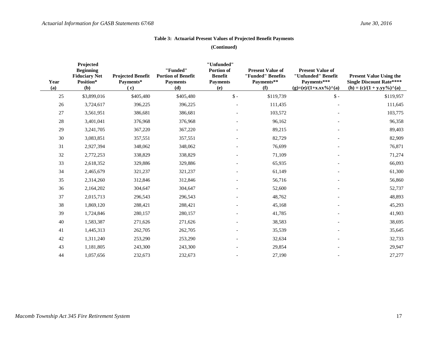| Year<br>(a) | Projected<br><b>Beginning</b><br><b>Fiduciary Net</b><br>Position*<br>(b) | <b>Projected Benefit</b><br>Payments*<br>(c) | "Funded"<br><b>Portion of Benefit</b><br><b>Payments</b><br>(d) | "Unfunded"<br>Portion of<br><b>Benefit</b><br><b>Payments</b><br>(e) | <b>Present Value of</b><br>"Funded" Benefits<br>Payments**<br>(f) | <b>Present Value of</b><br>"Unfunded" Benefit<br>Payments***<br>$(g)=(e)/(1+x,xx\%)^{\wedge}(a)$ | <b>Present Value Using the</b><br><b>Single Discount Rate****</b><br>$(h) = (c)/(1 + y.yy\%)$ <sup><math>\wedge</math></sup> (a) |
|-------------|---------------------------------------------------------------------------|----------------------------------------------|-----------------------------------------------------------------|----------------------------------------------------------------------|-------------------------------------------------------------------|--------------------------------------------------------------------------------------------------|----------------------------------------------------------------------------------------------------------------------------------|
| 25          | \$3,899,016                                                               | \$405,480                                    | \$405,480                                                       | $\$ -                                                                | \$119,739                                                         | $\mathsf{\$}$ -                                                                                  | \$119,957                                                                                                                        |
| $26\,$      | 3,724,617                                                                 | 396,225                                      | 396,225                                                         |                                                                      | 111,435                                                           |                                                                                                  | 111,645                                                                                                                          |
| 27          | 3,561,951                                                                 | 386,681                                      | 386,681                                                         |                                                                      | 103,572                                                           |                                                                                                  | 103,775                                                                                                                          |
| 28          | 3,401,041                                                                 | 376,968                                      | 376,968                                                         |                                                                      | 96,162                                                            |                                                                                                  | 96,358                                                                                                                           |
| 29          | 3,241,705                                                                 | 367,220                                      | 367,220                                                         |                                                                      | 89,215                                                            |                                                                                                  | 89,403                                                                                                                           |
| 30          | 3,083,851                                                                 | 357,551                                      | 357,551                                                         |                                                                      | 82,729                                                            |                                                                                                  | 82,909                                                                                                                           |
| 31          | 2,927,394                                                                 | 348,062                                      | 348,062                                                         |                                                                      | 76,699                                                            |                                                                                                  | 76,871                                                                                                                           |
| 32          | 2,772,253                                                                 | 338,829                                      | 338,829                                                         |                                                                      | 71,109                                                            |                                                                                                  | 71,274                                                                                                                           |
| 33          | 2,618,352                                                                 | 329,886                                      | 329,886                                                         |                                                                      | 65,935                                                            |                                                                                                  | 66,093                                                                                                                           |
| 34          | 2,465,679                                                                 | 321,237                                      | 321,237                                                         |                                                                      | 61,149                                                            |                                                                                                  | 61,300                                                                                                                           |
| 35          | 2,314,260                                                                 | 312,846                                      | 312,846                                                         |                                                                      | 56,716                                                            |                                                                                                  | 56,860                                                                                                                           |
| 36          | 2,164,202                                                                 | 304,647                                      | 304,647                                                         |                                                                      | 52,600                                                            |                                                                                                  | 52,737                                                                                                                           |
| 37          | 2,015,713                                                                 | 296,543                                      | 296,543                                                         |                                                                      | 48,762                                                            |                                                                                                  | 48,893                                                                                                                           |
| 38          | 1,869,120                                                                 | 288,421                                      | 288,421                                                         |                                                                      | 45,168                                                            |                                                                                                  | 45,293                                                                                                                           |
| 39          | 1,724,846                                                                 | 280,157                                      | 280,157                                                         |                                                                      | 41,785                                                            |                                                                                                  | 41,903                                                                                                                           |
| 40          | 1,583,387                                                                 | 271,626                                      | 271,626                                                         |                                                                      | 38,583                                                            |                                                                                                  | 38,695                                                                                                                           |
| 41          | 1,445,313                                                                 | 262,705                                      | 262,705                                                         |                                                                      | 35,539                                                            |                                                                                                  | 35,645                                                                                                                           |
| 42          | 1,311,240                                                                 | 253,290                                      | 253,290                                                         |                                                                      | 32,634                                                            |                                                                                                  | 32,733                                                                                                                           |
| 43          | 1,181,805                                                                 | 243,300                                      | 243,300                                                         |                                                                      | 29,854                                                            |                                                                                                  | 29,947                                                                                                                           |
| 44          | 1,057,656                                                                 | 232,673                                      | 232.673                                                         |                                                                      | 27,190                                                            |                                                                                                  | 27,277                                                                                                                           |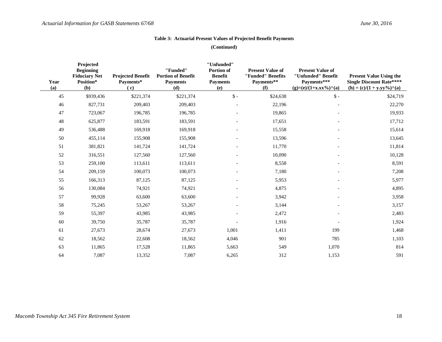| Year<br>(a) | Projected<br><b>Beginning</b><br><b>Fiduciary Net</b><br>Position*<br>(b) | <b>Projected Benefit</b><br>Payments*<br>(c) | "Funded"<br><b>Portion of Benefit</b><br><b>Payments</b><br>(d) | "Unfunded"<br>Portion of<br><b>Benefit</b><br><b>Payments</b><br>(e) | <b>Present Value of</b><br>"Funded" Benefits<br>Payments**<br>(f) | <b>Present Value of</b><br>"Unfunded" Benefit<br>Payments***<br>$(g)=(e)/(1+x,xx\%)^{\wedge}(a)$ | <b>Present Value Using the</b><br><b>Single Discount Rate****</b><br>$(h) = (c)/(1 + y.yy\%)$ <sup><math>\land</math></sup> (a) |
|-------------|---------------------------------------------------------------------------|----------------------------------------------|-----------------------------------------------------------------|----------------------------------------------------------------------|-------------------------------------------------------------------|--------------------------------------------------------------------------------------------------|---------------------------------------------------------------------------------------------------------------------------------|
| 45          | \$939,436                                                                 | \$221,374                                    | \$221,374                                                       | $\mathsf{\$}$ -                                                      | \$24,638                                                          | $\$ -                                                                                            | \$24,719                                                                                                                        |
| 46          | 827,731                                                                   | 209,403                                      | 209,403                                                         |                                                                      | 22,196                                                            |                                                                                                  | 22,270                                                                                                                          |
| 47          | 723,067                                                                   | 196,785                                      | 196,785                                                         |                                                                      | 19,865                                                            |                                                                                                  | 19,933                                                                                                                          |
| 48          | 625,877                                                                   | 183,591                                      | 183,591                                                         |                                                                      | 17,651                                                            |                                                                                                  | 17,712                                                                                                                          |
| 49          | 536,488                                                                   | 169,918                                      | 169,918                                                         |                                                                      | 15,558                                                            |                                                                                                  | 15,614                                                                                                                          |
| 50          | 455,114                                                                   | 155,908                                      | 155,908                                                         |                                                                      | 13,596                                                            |                                                                                                  | 13,645                                                                                                                          |
| 51          | 381,821                                                                   | 141,724                                      | 141,724                                                         |                                                                      | 11,770                                                            |                                                                                                  | 11,814                                                                                                                          |
| 52          | 316,551                                                                   | 127,560                                      | 127,560                                                         |                                                                      | 10,090                                                            |                                                                                                  | 10,128                                                                                                                          |
| 53          | 259,100                                                                   | 113,611                                      | 113,611                                                         |                                                                      | 8,558                                                             |                                                                                                  | 8,591                                                                                                                           |
| 54          | 209,159                                                                   | 100,073                                      | 100,073                                                         |                                                                      | 7,180                                                             |                                                                                                  | 7,208                                                                                                                           |
| 55          | 166,313                                                                   | 87,125                                       | 87,125                                                          |                                                                      | 5,953                                                             |                                                                                                  | 5,977                                                                                                                           |
| 56          | 130,084                                                                   | 74,921                                       | 74,921                                                          |                                                                      | 4,875                                                             |                                                                                                  | 4,895                                                                                                                           |
| 57          | 99,928                                                                    | 63,600                                       | 63,600                                                          |                                                                      | 3,942                                                             |                                                                                                  | 3,958                                                                                                                           |
| 58          | 75,245                                                                    | 53,267                                       | 53,267                                                          |                                                                      | 3,144                                                             |                                                                                                  | 3,157                                                                                                                           |
| 59          | 55,397                                                                    | 43,985                                       | 43,985                                                          |                                                                      | 2,472                                                             |                                                                                                  | 2,483                                                                                                                           |
| 60          | 39,750                                                                    | 35,787                                       | 35,787                                                          |                                                                      | 1,916                                                             |                                                                                                  | 1,924                                                                                                                           |
| 61          | 27,673                                                                    | 28,674                                       | 27,673                                                          | 1,001                                                                | 1,411                                                             | 199                                                                                              | 1,468                                                                                                                           |
| 62          | 18,562                                                                    | 22,608                                       | 18,562                                                          | 4,046                                                                | 901                                                               | 785                                                                                              | 1,103                                                                                                                           |
| 63          | 11,865                                                                    | 17,528                                       | 11,865                                                          | 5,663                                                                | 549                                                               | 1,070                                                                                            | 814                                                                                                                             |
| 64          | 7,087                                                                     | 13,352                                       | 7,087                                                           | 6,265                                                                | 312                                                               | 1,153                                                                                            | 591                                                                                                                             |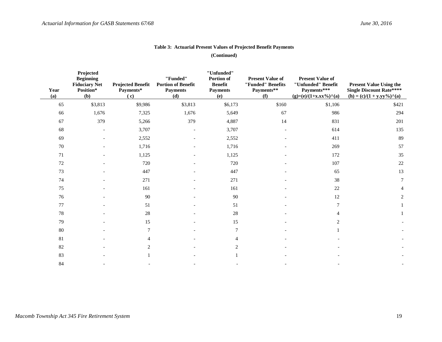| Year<br>(a) | Projected<br><b>Beginning</b><br><b>Fiduciary Net</b><br>Position*<br>(b) | <b>Projected Benefit</b><br>Payments*<br>(c) | "Funded"<br><b>Portion of Benefit</b><br><b>Payments</b><br>(d) | "Unfunded"<br>Portion of<br><b>Benefit</b><br><b>Payments</b><br>(e) | <b>Present Value of</b><br>"Funded" Benefits<br>Payments**<br>(f) | <b>Present Value of</b><br>"Unfunded" Benefit<br>Payments***<br>$(g)=(e)/(1+x,xx\%)^{\wedge}(a)$ | <b>Present Value Using the</b><br><b>Single Discount Rate****</b><br>$(h) = (c)/(1 + y.yy\%)$ <sup><math>\wedge</math></sup> (a) |
|-------------|---------------------------------------------------------------------------|----------------------------------------------|-----------------------------------------------------------------|----------------------------------------------------------------------|-------------------------------------------------------------------|--------------------------------------------------------------------------------------------------|----------------------------------------------------------------------------------------------------------------------------------|
| 65          | \$3,813                                                                   | \$9,986                                      | \$3,813                                                         | \$6,173                                                              | \$160                                                             | \$1,106                                                                                          | \$421                                                                                                                            |
| 66          | 1,676                                                                     | 7,325                                        | 1,676                                                           | 5,649                                                                | 67                                                                | 986                                                                                              | 294                                                                                                                              |
| 67          | 379                                                                       | 5,266                                        | 379                                                             | 4,887                                                                | 14                                                                | 831                                                                                              | 201                                                                                                                              |
| 68          |                                                                           | 3,707                                        |                                                                 | 3,707                                                                |                                                                   | 614                                                                                              | 135                                                                                                                              |
| 69          |                                                                           | 2,552                                        |                                                                 | 2,552                                                                |                                                                   | 411                                                                                              | 89                                                                                                                               |
| 70          |                                                                           | 1,716                                        |                                                                 | 1,716                                                                |                                                                   | 269                                                                                              | 57                                                                                                                               |
| $71\,$      |                                                                           | 1,125                                        |                                                                 | 1,125                                                                |                                                                   | 172                                                                                              | 35                                                                                                                               |
| $72\,$      |                                                                           | 720                                          |                                                                 | 720                                                                  |                                                                   | 107                                                                                              | $22\,$                                                                                                                           |
| 73          |                                                                           | 447                                          |                                                                 | 447                                                                  |                                                                   | 65                                                                                               | 13                                                                                                                               |
| 74          |                                                                           | 271                                          |                                                                 | 271                                                                  |                                                                   | 38                                                                                               | 7                                                                                                                                |
| 75          |                                                                           | 161                                          |                                                                 | 161                                                                  |                                                                   | $22\,$                                                                                           | $\overline{4}$                                                                                                                   |
| 76          |                                                                           | 90                                           |                                                                 | 90                                                                   |                                                                   | 12                                                                                               | 2                                                                                                                                |
| 77          |                                                                           | 51                                           |                                                                 | 51                                                                   |                                                                   | 7                                                                                                |                                                                                                                                  |
| 78          |                                                                           | $28\,$                                       |                                                                 | $28\,$                                                               |                                                                   |                                                                                                  |                                                                                                                                  |
| 79          |                                                                           | 15                                           |                                                                 | 15                                                                   |                                                                   | 2                                                                                                |                                                                                                                                  |
| $80\,$      |                                                                           | 7                                            |                                                                 | $\tau$                                                               |                                                                   |                                                                                                  |                                                                                                                                  |
| 81          |                                                                           | 4                                            |                                                                 | 4                                                                    |                                                                   |                                                                                                  |                                                                                                                                  |
| 82          |                                                                           | 2                                            |                                                                 | 2                                                                    |                                                                   |                                                                                                  |                                                                                                                                  |
| 83          |                                                                           |                                              |                                                                 |                                                                      |                                                                   |                                                                                                  |                                                                                                                                  |
| 84          |                                                                           |                                              |                                                                 |                                                                      |                                                                   |                                                                                                  |                                                                                                                                  |